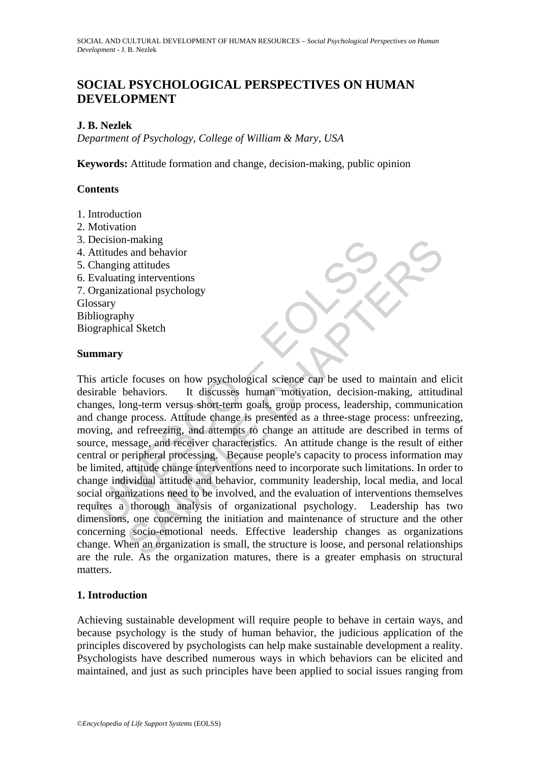# **SOCIAL PSYCHOLOGICAL PERSPECTIVES ON HUMAN DEVELOPMENT**

# **J. B. Nezlek**

*Department of Psychology, College of William & Mary, USA* 

**Keywords:** Attitude formation and change, decision-making, public opinion

## **Contents**

- 1. Introduction
- 2. Motivation
- 3. Decision-making
- 4. Attitudes and behavior
- 5. Changing attitudes
- 6. Evaluating interventions
- 7. Organizational psychology **Glossary**

Bibliography

Biographical Sketch

## **Summary**

Fittludes and behavior<br>
thanging attitudes<br>
hanging attitudes<br>
valuating interventions<br>
reganizational psychology<br>
stary<br>
iography<br>
stary<br>
iography<br>
stary<br>
iography<br>
stary<br>
iography<br>
stary<br>
change process. Attitude change Final behavior<br>
g attitudes<br>
g attitudes<br>
ng interventions<br>
g attitudes<br>
ng interventions<br>
ational psychology<br>
hy<br>
al Sketch<br>
by<br>
al Sketch<br>
by<br>
al Sketch<br>
by<br>
al Sketch<br>
by<br>
al Sketch<br>
proper-term grads, group process, le This article focuses on how psychological science can be used to maintain and elicit desirable behaviors. It discusses human motivation, decision-making, attitudinal changes, long-term versus short-term goals, group process, leadership, communication and change process. Attitude change is presented as a three-stage process: unfreezing, moving, and refreezing, and attempts to change an attitude are described in terms of source, message, and receiver characteristics. An attitude change is the result of either central or peripheral processing. Because people's capacity to process information may be limited, attitude change interventions need to incorporate such limitations. In order to change individual attitude and behavior, community leadership, local media, and local social organizations need to be involved, and the evaluation of interventions themselves requires a thorough analysis of organizational psychology. Leadership has two dimensions, one concerning the initiation and maintenance of structure and the other concerning socio-emotional needs. Effective leadership changes as organizations change. When an organization is small, the structure is loose, and personal relationships are the rule. As the organization matures, there is a greater emphasis on structural matters.

# **1. Introduction**

Achieving sustainable development will require people to behave in certain ways, and because psychology is the study of human behavior, the judicious application of the principles discovered by psychologists can help make sustainable development a reality. Psychologists have described numerous ways in which behaviors can be elicited and maintained, and just as such principles have been applied to social issues ranging from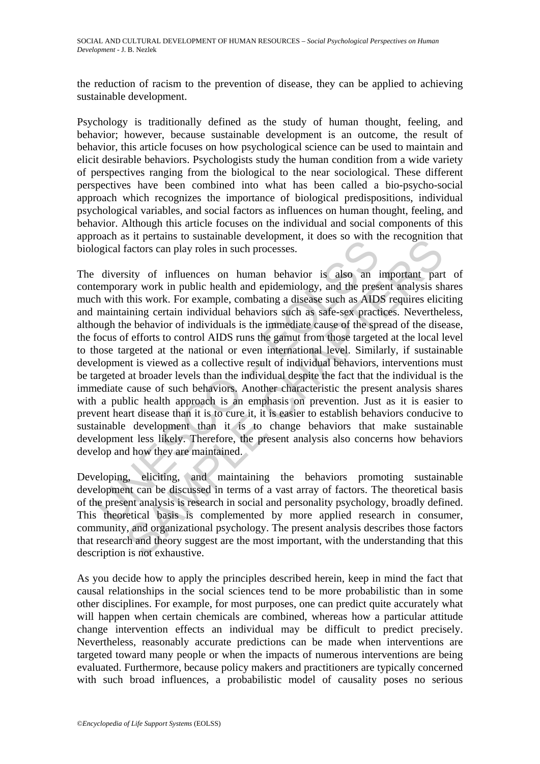the reduction of racism to the prevention of disease, they can be applied to achieving sustainable development.

Psychology is traditionally defined as the study of human thought, feeling, and behavior; however, because sustainable development is an outcome, the result of behavior, this article focuses on how psychological science can be used to maintain and elicit desirable behaviors. Psychologists study the human condition from a wide variety of perspectives ranging from the biological to the near sociological. These different perspectives have been combined into what has been called a bio-psycho-social approach which recognizes the importance of biological predispositions, individual psychological variables, and social factors as influences on human thought, feeling, and behavior. Although this article focuses on the individual and social components of this approach as it pertains to sustainable development, it does so with the recognition that biological factors can play roles in such processes.

because a represent in solution of the decoration of the section of the section and the development and the pressure diversity of influences on human behavior is also an intemporary work in public health and epidemiology, S it periams to sustainance development, it uses so what are tecoginator and sustainable development, it uses so what are tecoginator party work in public health and epidemiology, and the present analysis share this work. The diversity of influences on human behavior is also an important part of contemporary work in public health and epidemiology, and the present analysis shares much with this work. For example, combating a disease such as AIDS requires eliciting and maintaining certain individual behaviors such as safe-sex practices. Nevertheless, although the behavior of individuals is the immediate cause of the spread of the disease, the focus of efforts to control AIDS runs the gamut from those targeted at the local level to those targeted at the national or even international level. Similarly, if sustainable development is viewed as a collective result of individual behaviors, interventions must be targeted at broader levels than the individual despite the fact that the individual is the immediate cause of such behaviors. Another characteristic the present analysis shares with a public health approach is an emphasis on prevention. Just as it is easier to prevent heart disease than it is to cure it, it is easier to establish behaviors conducive to sustainable development than it is to change behaviors that make sustainable development less likely. Therefore, the present analysis also concerns how behaviors develop and how they are maintained.

Developing, eliciting, and maintaining the behaviors promoting sustainable development can be discussed in terms of a vast array of factors. The theoretical basis of the present analysis is research in social and personality psychology, broadly defined. This theoretical basis is complemented by more applied research in consumer, community, and organizational psychology. The present analysis describes those factors that research and theory suggest are the most important, with the understanding that this description is not exhaustive.

As you decide how to apply the principles described herein, keep in mind the fact that causal relationships in the social sciences tend to be more probabilistic than in some other disciplines. For example, for most purposes, one can predict quite accurately what will happen when certain chemicals are combined, whereas how a particular attitude change intervention effects an individual may be difficult to predict precisely. Nevertheless, reasonably accurate predictions can be made when interventions are targeted toward many people or when the impacts of numerous interventions are being evaluated. Furthermore, because policy makers and practitioners are typically concerned with such broad influences, a probabilistic model of causality poses no serious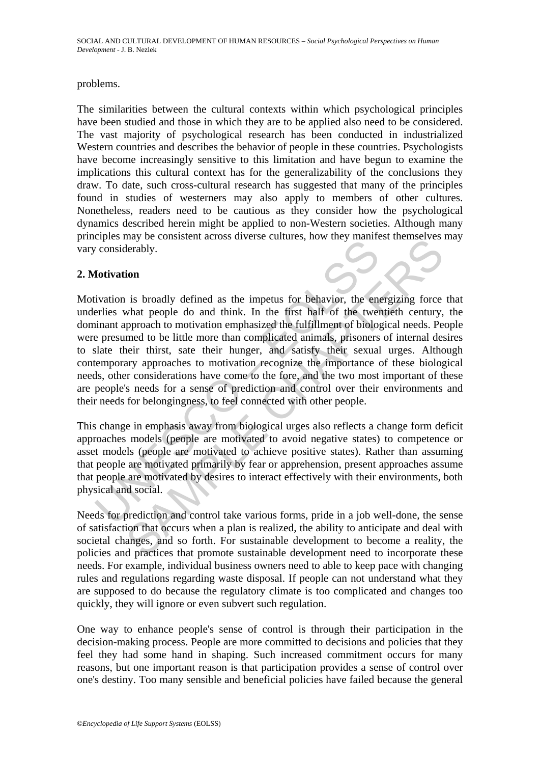### problems.

The similarities between the cultural contexts within which psychological principles have been studied and those in which they are to be applied also need to be considered. The vast majority of psychological research has been conducted in industrialized Western countries and describes the behavior of people in these countries. Psychologists have become increasingly sensitive to this limitation and have begun to examine the implications this cultural context has for the generalizability of the conclusions they draw. To date, such cross-cultural research has suggested that many of the principles found in studies of westerners may also apply to members of other cultures. Nonetheless, readers need to be cautious as they consider how the psychological dynamics described herein might be applied to non-Western societies. Although many principles may be consistent across diverse cultures, how they manifest themselves may vary considerably.

## **2. Motivation**

Fraction is broadly defined as the impettus for behavior, the energies may be considerably.<br> **Intivation** is broadly defined as the impettus for behavior, the energies what people do and think. In the first half of the twe The set of the method of the set of the and interest and social derably.<br>
Set about a stress change of the first half of the twentieth century,<br>
phroach to motivation emphasized the fulfillment of biological needs. Per<br>
me Motivation is broadly defined as the impetus for behavior, the energizing force that underlies what people do and think. In the first half of the twentieth century, the dominant approach to motivation emphasized the fulfillment of biological needs. People were presumed to be little more than complicated animals, prisoners of internal desires to slate their thirst, sate their hunger, and satisfy their sexual urges. Although contemporary approaches to motivation recognize the importance of these biological needs, other considerations have come to the fore, and the two most important of these are people's needs for a sense of prediction and control over their environments and their needs for belongingness, to feel connected with other people.

This change in emphasis away from biological urges also reflects a change form deficit approaches models (people are motivated to avoid negative states) to competence or asset models (people are motivated to achieve positive states). Rather than assuming that people are motivated primarily by fear or apprehension, present approaches assume that people are motivated by desires to interact effectively with their environments, both physical and social.

Needs for prediction and control take various forms, pride in a job well-done, the sense of satisfaction that occurs when a plan is realized, the ability to anticipate and deal with societal changes, and so forth. For sustainable development to become a reality, the policies and practices that promote sustainable development need to incorporate these needs. For example, individual business owners need to able to keep pace with changing rules and regulations regarding waste disposal. If people can not understand what they are supposed to do because the regulatory climate is too complicated and changes too quickly, they will ignore or even subvert such regulation.

One way to enhance people's sense of control is through their participation in the decision-making process. People are more committed to decisions and policies that they feel they had some hand in shaping. Such increased commitment occurs for many reasons, but one important reason is that participation provides a sense of control over one's destiny. Too many sensible and beneficial policies have failed because the general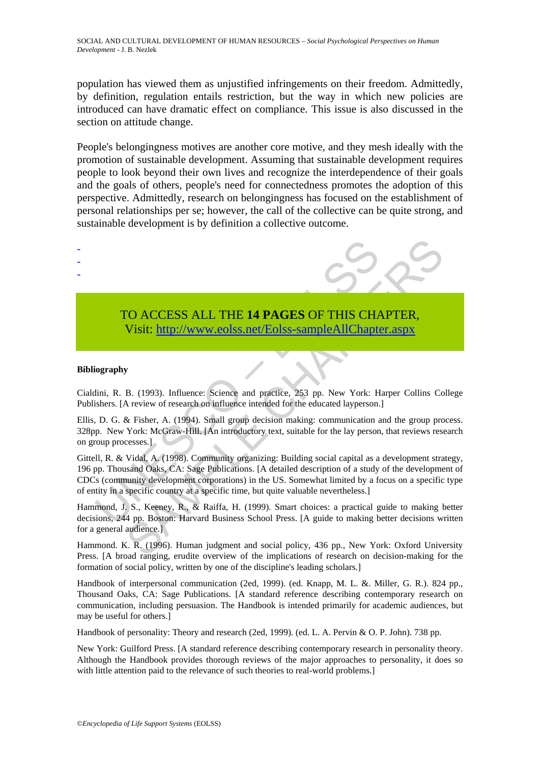population has viewed them as unjustified infringements on their freedom. Admittedly, by definition, regulation entails restriction, but the way in which new policies are introduced can have dramatic effect on compliance. This issue is also discussed in the section on attitude change.

People's belongingness motives are another core motive, and they mesh ideally with the promotion of sustainable development. Assuming that sustainable development requires people to look beyond their own lives and recognize the interdependence of their goals and the goals of others, people's need for connectedness promotes the adoption of this perspective. Admittedly, research on belongingness has focused on the establishment of personal relationships per se; however, the call of the collective can be quite strong, and sustainable development is by definition a collective outcome.



# TO ACCESS ALL THE **14 PAGES** OF THIS CHAPTER, Visit: http://www.eolss.net/Eolss-sampleAllChapter.aspx

#### **Bibliography**

- - -

Cialdini, R. B. (1993). Influence: Science and practice, 253 pp. New York: Harper Collins College Publishers. [A review of research on influence intended for the educated layperson.]

Ellis, D. G. & Fisher, A. (1994). Small group decision making: communication and the group process. 328pp. New York: McGraw-Hill. [An introductory text, suitable for the lay person, that reviews research on group processes.]

TO ACCESS ALL THE 14 PAGES OF THIS CHA<br>Visit: http://www.colss.net/Eolss-sampleAllChapte<br>iography<br>ini, R. B. (1993). Influence: Science and practice, 253 pp. New York: H<br>ishers. [A review of research on influence intended FO ACCESS ALL THE 14 PAGES OF THIS CH[APT](https://www.eolss.net/ebooklib/sc_cart.aspx?File=E1-11-01-09)ER,<br>Visit: http://www.eolss.net/Eolss-sampleAllChapter.aspx<br>B. (1993). Influence: Science and practice, 253 pp. New York: Harper Collins Co<br>A review of research on influence intende Gittell, R. & Vidal, A. (1998). Community organizing: Building social capital as a development strategy, 196 pp. Thousand Oaks, CA: Sage Publications. [A detailed description of a study of the development of CDCs (community development corporations) in the US. Somewhat limited by a focus on a specific type of entity in a specific country at a specific time, but quite valuable nevertheless.]

Hammond, J. S., Keeney, R., & Raiffa, H. (1999). Smart choices: a practical guide to making better decisions, 244 pp. Boston: Harvard Business School Press. [A guide to making better decisions written for a general audience.]

Hammond. K. R. (1996). Human judgment and social policy, 436 pp., New York: Oxford University Press. [A broad ranging, erudite overview of the implications of research on decision-making for the formation of social policy, written by one of the discipline's leading scholars.]

Handbook of interpersonal communication (2ed, 1999). (ed. Knapp, M. L. &. Miller, G. R.). 824 pp., Thousand Oaks, CA: Sage Publications. [A standard reference describing contemporary research on communication, including persuasion. The Handbook is intended primarily for academic audiences, but may be useful for others.]

Handbook of personality: Theory and research (2ed, 1999). (ed. L. A. Pervin & O. P. John). 738 pp.

New York: Guilford Press. [A standard reference describing contemporary research in personality theory. Although the Handbook provides thorough reviews of the major approaches to personality, it does so with little attention paid to the relevance of such theories to real-world problems.